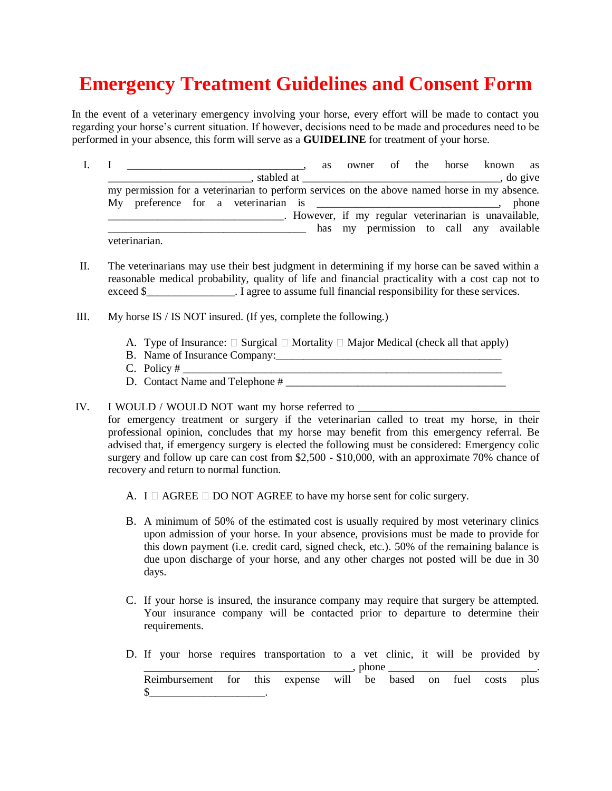## **Emergency Treatment Guidelines and Consent Form**

In the event of a veterinary emergency involving your horse, every effort will be made to contact you regarding your horse's current situation. If however, decisions need to be made and procedures need to be performed in your absence, this form will serve as a **GUIDELINE** for treatment of your horse.

- I. I  $\cdots$  is the set of the horse known as  $\blacksquare$ , stabled at  $\blacksquare$ , do give my permission for a veterinarian to perform services on the above named horse in my absence. My preference for a veterinarian is \_\_\_\_\_\_\_\_\_\_\_\_\_\_\_\_\_\_\_\_\_\_\_\_\_\_\_\_\_\_\_, phone \_\_\_\_\_\_\_\_\_\_\_\_\_\_\_\_\_\_\_\_\_\_\_\_\_\_\_\_\_\_\_\_. However, if my regular veterinarian is unavailable, has my permission to call any available veterinarian.
- II. The veterinarians may use their best judgment in determining if my horse can be saved within a reasonable medical probability, quality of life and financial practicality with a cost cap not to exceed \$\_\_\_\_\_\_\_\_\_\_\_\_\_\_\_\_. I agree to assume full financial responsibility for these services.
- III. My horse IS / IS NOT insured. (If yes, complete the following.)
	- A. Type of Insurance:  $\Box$  Surgical  $\Box$  Mortality  $\Box$  Major Medical (check all that apply)
	- B. Name of Insurance Company:
	- C. Policy # \_\_\_\_\_\_\_\_\_\_\_\_\_\_\_\_\_\_\_\_\_\_\_\_\_\_\_\_\_\_\_\_\_\_\_\_\_\_\_\_\_\_\_\_\_\_\_\_\_\_\_\_\_\_\_\_\_\_
	- D. Contact Name and Telephone #
- IV. I WOULD / WOULD NOT want my horse referred to \_\_\_\_\_\_\_\_\_\_\_\_\_\_\_\_\_\_\_\_\_\_\_\_\_\_\_\_\_\_
	- for emergency treatment or surgery if the veterinarian called to treat my horse, in their professional opinion, concludes that my horse may benefit from this emergency referral. Be advised that, if emergency surgery is elected the following must be considered: Emergency colic surgery and follow up care can cost from \$2,500 - \$10,000, with an approximate 70% chance of recovery and return to normal function.
		- A. I  $\Box$  AGREE  $\Box$  DO NOT AGREE to have my horse sent for colic surgery.
		- B. A minimum of 50% of the estimated cost is usually required by most veterinary clinics upon admission of your horse. In your absence, provisions must be made to provide for this down payment (i.e. credit card, signed check, etc.). 50% of the remaining balance is due upon discharge of your horse, and any other charges not posted will be due in 30 days.
		- C. If your horse is insured, the insurance company may require that surgery be attempted. Your insurance company will be contacted prior to departure to determine their requirements.
		- D. If your horse requires transportation to a vet clinic, it will be provided by  $\Box$ , phone  $\Box$ Reimbursement for this expense will be based on fuel costs plus  $\circ$